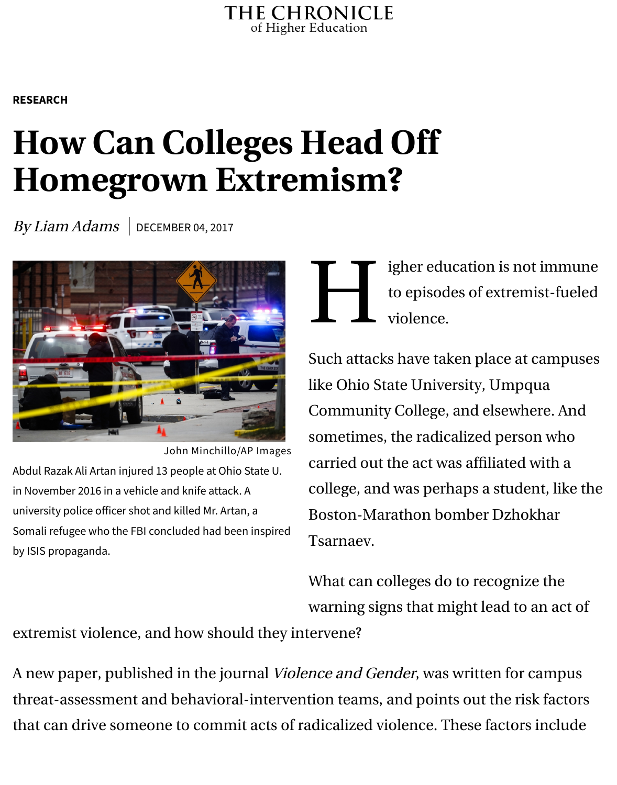## **How Can Col[leges Head O](https://www.chronicle.com/)ff Homegrown Extremism?**

[By](https://www.chronicle.com/section/Research/9) [Liam](https://www.chronicle.com/section/Research/9) Adams  $\vert$  DECEMBER 04, 2017



John Minchillo/AP Images

Abdul Razak Ali Artan injured 13 people at Ohio State U. in November 2016 in a vehicle and knife attack. A university police oficer shot and killed Mr. Artan, a Somali refugee who the FBI concluded had been inspired by ISIS propaganda.

H igher education is to episodes of extremisted violence.

Such attacks have taken place like Ohio State University, Um Community College, and elsey sometimes, the radicalized per carried out the act was affiliate college, and was perhaps a stu Boston-Marathon bomber Dz Tsarnaev.

What can colleges do to recognize warning signs that might lead

extremist violence, and how should they intervene?

A new paper, published in the journal Violence and Gender, was written for threat-assessment and behavioral-intervention teams, and points out the that can drive someone to commit acts of radicalized violence. These factors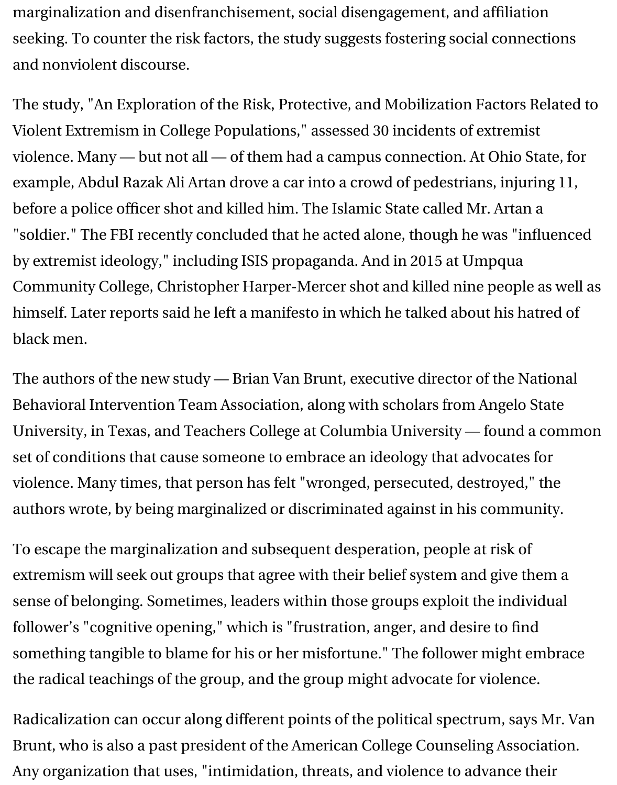Violent Extremism in College Populations," assessed 30 incidents of extrem violence. Many — but not all — of them had a campus connection. At Ohi example, Abdul Razak Ali Artan drove a car into a crowd of pedestrians, in before a police officer shot and killed him. The Islamic State called Mr. Art ["soldier." T](http://online.liebertpub.com/doi/pdfplus/10.1089/vio.2017.0039)he FBI recently concluded that he acted alone, though he was by extremist ideology," including ISIS propaganda. And in 2015 at Umpqu Community College, Christopher Harper-Mercer shot and killed nine peo himself. Later reports said he left a manifesto in which he talked about his black men.

The authors of the new study - Brian Van Brunt, executive director of the Behavioral Intervention Team Association, along with scholars from Ange University, in Texas, and Teache[rs College at](http://www.oregonlive.com/pacific-northwest-news/index.ssf/2017/09/umpqua_community_college_shoot_3.html) Columbia University - found set of conditions that cause someone to embrace an ideology that advocat violence. Many times, that person has felt "wronged, persecuted, destroye authors wrote, by being margin[alized or discrimi](https://www.chronicle.com/article/Giving-Troubled-Students-the/130838)nated against in his comi

To escape the marginalization and subsequent desperation, people at risk extremism will seek out groups that agree with their belief system and give sense of belonging. Sometimes, leaders within those groups exploit the individual follower's "cognitive opening," which is "frustration, anger, and desire to f something tangible to blame for his or her misfortune." The follower might the radical teachings of the group, and the group might advocate for viole.

Radicalization can occur along different points of the political spectrum, s Brunt, who is also a past president of the American College Counseling As Any organization that uses, "intimidation, threats, and violence to advanc